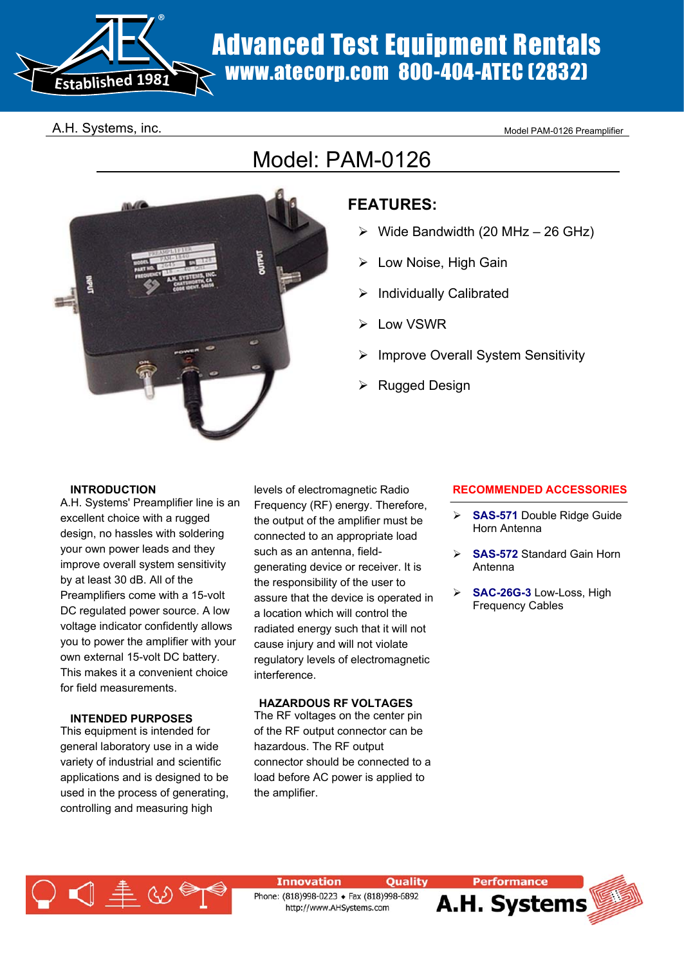

# Advanced Test Equipment Rentals www.atecorp.com 800-404-ATEC (2832)

## A.H. Systems, inc. The contract of the contract of the Model PAM-0126 Preamplifier

## Model: PAM-0126



## **FEATURES:**

- $\triangleright$  Wide Bandwidth (20 MHz 26 GHz)
- $\triangleright$  Low Noise, High Gain
- $\triangleright$  Individually Calibrated
- Low VSWR
- Improve Overall System Sensitivity
- **Rugged Design**

## **INTRODUCTION**

A.H. Systems' Preamplifier line is an excellent choice with a rugged design, no hassles with soldering your own power leads and they improve overall system sensitivity by at least 30 dB. All of the Preamplifiers come with a 15-volt DC regulated power source. A low voltage indicator confidently allows you to power the amplifier with your own external 15-volt DC battery. This makes it a convenient choice for field measurements.

## **INTENDED PURPOSES**

This equipment is intended for general laboratory use in a wide variety of industrial and scientific applications and is designed to be used in the process of generating, controlling and measuring high

levels of electromagnetic Radio Frequency (RF) energy. Therefore, the output of the amplifier must be connected to an appropriate load such as an antenna, fieldgenerating device or receiver. It is the responsibility of the user to assure that the device is operated in a location which will control the radiated energy such that it will not cause injury and will not violate regulatory levels of electromagnetic interference.

## **HAZARDOUS RF VOLTAGES**

The RF voltages on the center pin of the RF output connector can be hazardous. The RF output connector should be connected to a load before AC power is applied to the amplifier.

## **RECOMMENDED ACCESSORIES**

- ¾ **SAS-571** Double Ridge Guide Horn Antenna
- **SAS-572 Standard Gain Horn** Antenna
- ¾ **SAC-26G-3** Low-Loss, High Frequency Cables



**Innovation Quality** Phone: (818)998-0223 + Fax (818)998-6892 http://www.AHSystems.com

**Performance** 

A.H. Systems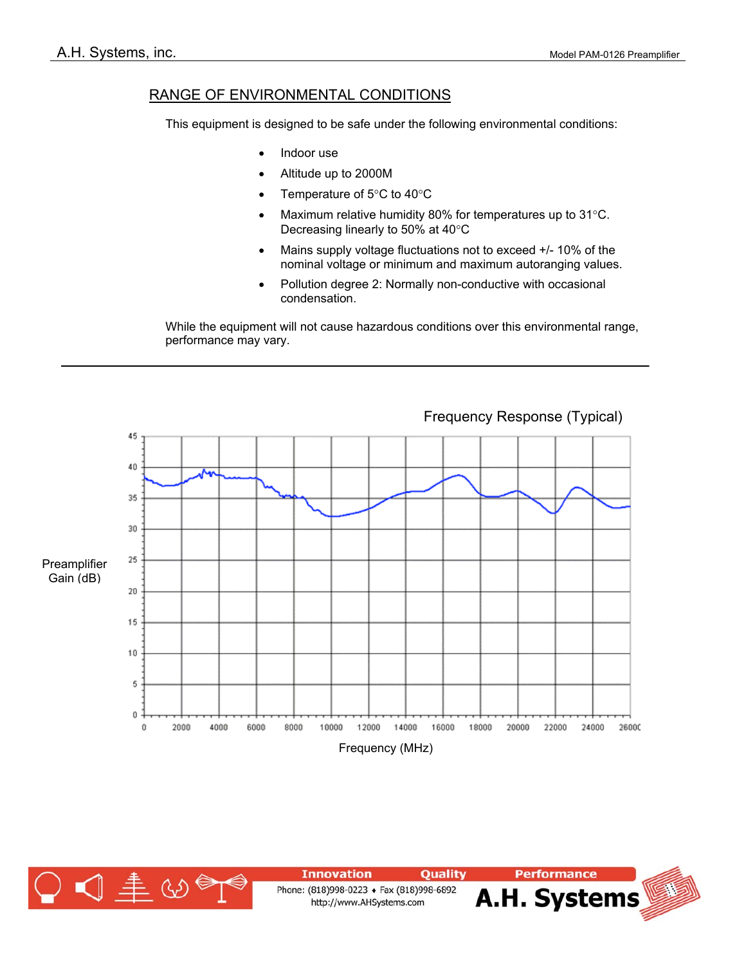## RANGE OF ENVIRONMENTAL CONDITIONS

This equipment is designed to be safe under the following environmental conditions:

- Indoor use
- Altitude up to 2000M
- Temperature of 5°C to 40°C
- Maximum relative humidity 80% for temperatures up to  $31^{\circ}$ C. Decreasing linearly to 50% at 40°C
- Mains supply voltage fluctuations not to exceed +/- 10% of the nominal voltage or minimum and maximum autoranging values.
- Pollution degree 2: Normally non-conductive with occasional condensation.

While the equipment will not cause hazardous conditions over this environmental range, performance may vary.



Frequency Response (Typical)